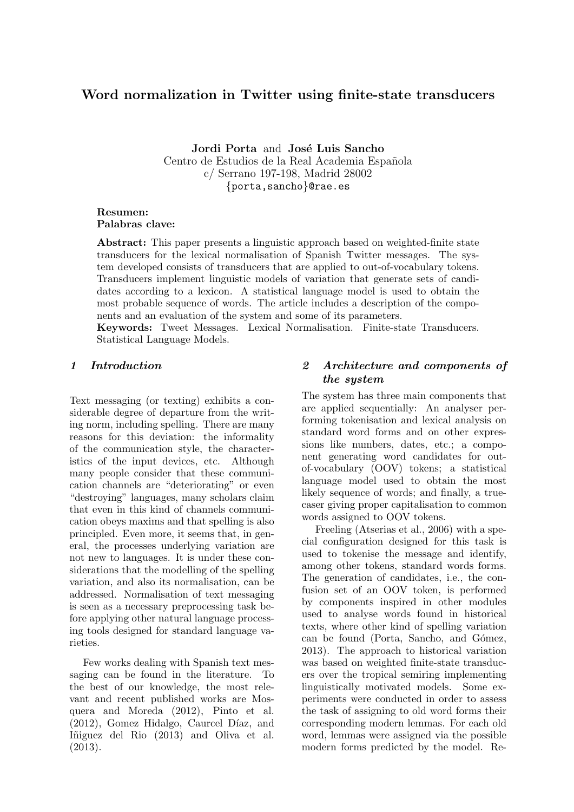# Word normalization in Twitter using finite-state transducers

Jordi Porta and José Luis Sancho Centro de Estudios de la Real Academia Española c/ Serrano 197-198, Madrid 28002 {porta,sancho}@rae.es

#### Resumen: Palabras clave:

Abstract: This paper presents a linguistic approach based on weighted-finite state transducers for the lexical normalisation of Spanish Twitter messages. The system developed consists of transducers that are applied to out-of-vocabulary tokens. Transducers implement linguistic models of variation that generate sets of candidates according to a lexicon. A statistical language model is used to obtain the most probable sequence of words. The article includes a description of the components and an evaluation of the system and some of its parameters.

Keywords: Tweet Messages. Lexical Normalisation. Finite-state Transducers. Statistical Language Models.

# 1 Introduction

Text messaging (or texting) exhibits a considerable degree of departure from the writing norm, including spelling. There are many reasons for this deviation: the informality of the communication style, the characteristics of the input devices, etc. Although many people consider that these communication channels are "deteriorating" or even "destroying" languages, many scholars claim that even in this kind of channels communication obeys maxims and that spelling is also principled. Even more, it seems that, in general, the processes underlying variation are not new to languages. It is under these considerations that the modelling of the spelling variation, and also its normalisation, can be addressed. Normalisation of text messaging is seen as a necessary preprocessing task before applying other natural language processing tools designed for standard language varieties.

Few works dealing with Spanish text messaging can be found in the literature. To the best of our knowledge, the most relevant and recent published works are Mosquera and Moreda (2012), Pinto et al.  $(2012)$ , Gomez Hidalgo, Caurcel Díaz, and Iñiguez del Rio (2013) and Oliva et al. (2013).

# 2 Architecture and components of the system

The system has three main components that are applied sequentially: An analyser performing tokenisation and lexical analysis on standard word forms and on other expressions like numbers, dates, etc.; a component generating word candidates for outof-vocabulary (OOV) tokens; a statistical language model used to obtain the most likely sequence of words; and finally, a truecaser giving proper capitalisation to common words assigned to OOV tokens.

Freeling (Atserias et al., 2006) with a special configuration designed for this task is used to tokenise the message and identify, among other tokens, standard words forms. The generation of candidates, i.e., the confusion set of an OOV token, is performed by components inspired in other modules used to analyse words found in historical texts, where other kind of spelling variation can be found (Porta, Sancho, and Gómez, 2013). The approach to historical variation was based on weighted finite-state transducers over the tropical semiring implementing linguistically motivated models. Some experiments were conducted in order to assess the task of assigning to old word forms their corresponding modern lemmas. For each old word, lemmas were assigned via the possible modern forms predicted by the model. Re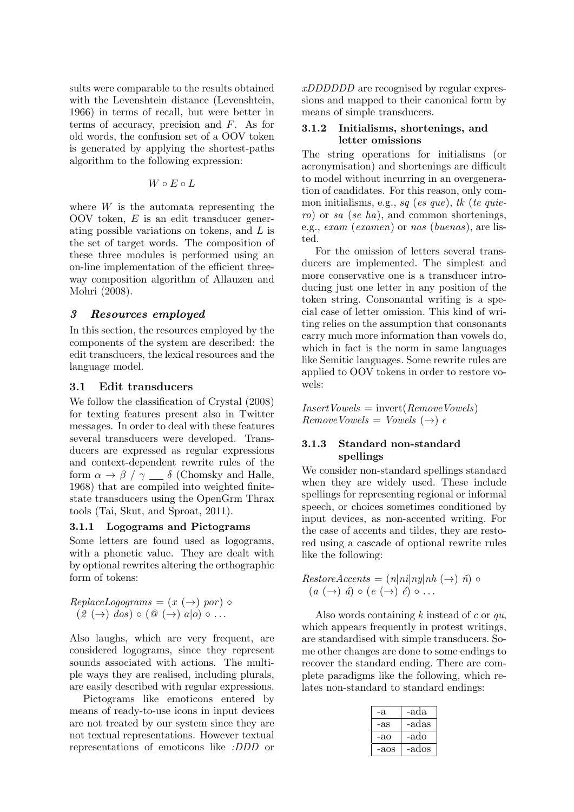sults were comparable to the results obtained with the Levenshtein distance (Levenshtein, 1966) in terms of recall, but were better in terms of accuracy, precision and F. As for old words, the confusion set of a OOV token is generated by applying the shortest-paths algorithm to the following expression:

$$
W\circ E\circ L
$$

where  $W$  is the automata representing the OOV token, E is an edit transducer generating possible variations on tokens, and L is the set of target words. The composition of these three modules is performed using an on-line implementation of the efficient threeway composition algorithm of Allauzen and Mohri (2008).

# 3 Resources employed

In this section, the resources employed by the components of the system are described: the edit transducers, the lexical resources and the language model.

# 3.1 Edit transducers

We follow the classification of Crystal (2008) for texting features present also in Twitter messages. In order to deal with these features several transducers were developed. Transducers are expressed as regular expressions and context-dependent rewrite rules of the form  $\alpha \to \beta / \gamma \equiv \delta$  (Chomsky and Halle, 1968) that are compiled into weighted finitestate transducers using the OpenGrm Thrax tools (Tai, Skut, and Sproat, 2011).

# 3.1.1 Logograms and Pictograms

Some letters are found used as logograms, with a phonetic value. They are dealt with by optional rewrites altering the orthographic form of tokens:

$$
ReplaceLogograms = (x (\rightarrow) por) \circ (2 (\rightarrow) dos) \circ (0 (\rightarrow) a|o) \circ ...
$$

Also laughs, which are very frequent, are considered logograms, since they represent sounds associated with actions. The multiple ways they are realised, including plurals, are easily described with regular expressions.

Pictograms like emoticons entered by means of ready-to-use icons in input devices are not treated by our system since they are not textual representations. However textual representations of emoticons like :DDD or xDDDDDD are recognised by regular expressions and mapped to their canonical form by means of simple transducers.

#### 3.1.2 Initialisms, shortenings, and letter omissions

The string operations for initialisms (or acronymisation) and shortenings are difficult to model without incurring in an overgeneration of candidates. For this reason, only common initialisms, e.g., sq (es que), tk (te quiero) or sa (se ha), and common shortenings, e.g., exam (examen) or nas (buenas), are listed.

For the omission of letters several transducers are implemented. The simplest and more conservative one is a transducer introducing just one letter in any position of the token string. Consonantal writing is a special case of letter omission. This kind of writing relies on the assumption that consonants carry much more information than vowels do, which in fact is the norm in same languages like Semitic languages. Some rewrite rules are applied to OOV tokens in order to restore vowels:

 $InsertVowels = invert(RemoveVowels)$  $RemoveVowels = Vowels (\rightarrow) \epsilon$ 

# 3.1.3 Standard non-standard spellings

We consider non-standard spellings standard when they are widely used. These include spellings for representing regional or informal speech, or choices sometimes conditioned by input devices, as non-accented writing. For the case of accents and tildes, they are restored using a cascade of optional rewrite rules like the following:

$$
RestoreAccents = (n|ni|ny|nh (\rightarrow) \hat{n}) \circ (a (\rightarrow) \hat{a}) \circ (e (\rightarrow) \hat{e}) \circ ...
$$

Also words containing  $k$  instead of  $c$  or  $qu$ , which appears frequently in protest writings, are standardised with simple transducers. Some other changes are done to some endings to recover the standard ending. There are complete paradigms like the following, which relates non-standard to standard endings:

| -а.  | -ada  |
|------|-------|
| -as  | -adas |
| -ao  | -ado  |
| -aos | -ados |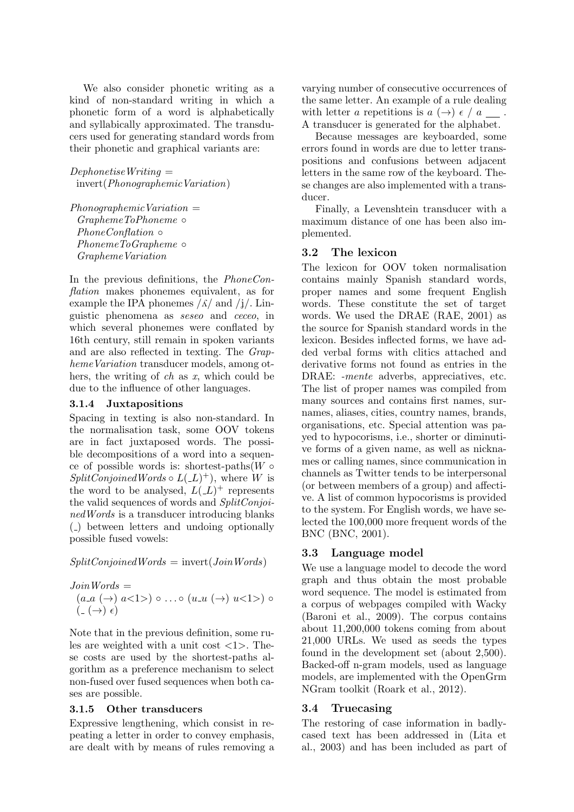We also consider phonetic writing as a kind of non-standard writing in which a phonetic form of a word is alphabetically and syllabically approximated. The transducers used for generating standard words from their phonetic and graphical variants are:

 $DephonetiseWriting =$ invert(PhonographemicVariation)

 $Phono a rablemicVariation =$ GraphemeToPhoneme ◦ *PhoneConflation* ∘ PhonemeToGrapheme ∘ GraphemeVariation

In the previous definitions, the PhoneConflation makes phonemes equivalent, as for example the IPA phonemes  $\frac{\lambda}{\lambda}$  and  $\frac{\lambda}{\lambda}$ . Linguistic phenomena as seseo and ceceo, in which several phonemes were conflated by 16th century, still remain in spoken variants and are also reflected in texting. The Grapheme Variation transducer models, among others, the writing of  $ch$  as  $x$ , which could be due to the influence of other languages.

### 3.1.4 Juxtapositions

Spacing in texting is also non-standard. In the normalisation task, some OOV tokens are in fact juxtaposed words. The possible decompositions of a word into a sequence of possible words is: shortest-paths $(W \circ$  $SplitConjoinedWords \circ L(\_L)^+),$  where W is the word to be analysed,  $L(L)^+$  represents the valid sequences of words and SplitConjoinedWords is a transducer introducing blanks ( ) between letters and undoing optionally possible fused vowels:

 $SplitConjoinedWords = invert(JoinWords)$ 

Join Words =  
\n
$$
(a.a (\rightarrow) a<1>) \circ ... \circ (u.u (\rightarrow) u<1>) \circ
$$
  
\n $(. (\rightarrow) \epsilon)$ 

Note that in the previous definition, some rules are weighted with a unit cost  $\langle 1 \rangle$ . These costs are used by the shortest-paths algorithm as a preference mechanism to select non-fused over fused sequences when both cases are possible.

# 3.1.5 Other transducers

Expressive lengthening, which consist in repeating a letter in order to convey emphasis, are dealt with by means of rules removing a

varying number of consecutive occurrences of the same letter. An example of a rule dealing with letter a repetitions is  $a \leftrightarrow a$ . A transducer is generated for the alphabet.

Because messages are keyboarded, some errors found in words are due to letter transpositions and confusions between adjacent letters in the same row of the keyboard. These changes are also implemented with a transducer.

Finally, a Levenshtein transducer with a maximum distance of one has been also implemented.

# 3.2 The lexicon

The lexicon for OOV token normalisation contains mainly Spanish standard words, proper names and some frequent English words. These constitute the set of target words. We used the DRAE (RAE, 2001) as the source for Spanish standard words in the lexicon. Besides inflected forms, we have added verbal forms with clitics attached and derivative forms not found as entries in the DRAE: -mente adverbs, appreciatives, etc. The list of proper names was compiled from many sources and contains first names, surnames, aliases, cities, country names, brands, organisations, etc. Special attention was payed to hypocorisms, i.e., shorter or diminutive forms of a given name, as well as nicknames or calling names, since communication in channels as Twitter tends to be interpersonal (or between members of a group) and affective. A list of common hypocorisms is provided to the system. For English words, we have selected the 100,000 more frequent words of the BNC (BNC, 2001).

# 3.3 Language model

We use a language model to decode the word graph and thus obtain the most probable word sequence. The model is estimated from a corpus of webpages compiled with Wacky (Baroni et al., 2009). The corpus contains about 11,200,000 tokens coming from about 21,000 URLs. We used as seeds the types found in the development set (about 2,500). Backed-off n-gram models, used as language models, are implemented with the OpenGrm NGram toolkit (Roark et al., 2012).

# 3.4 Truecasing

The restoring of case information in badlycased text has been addressed in (Lita et al., 2003) and has been included as part of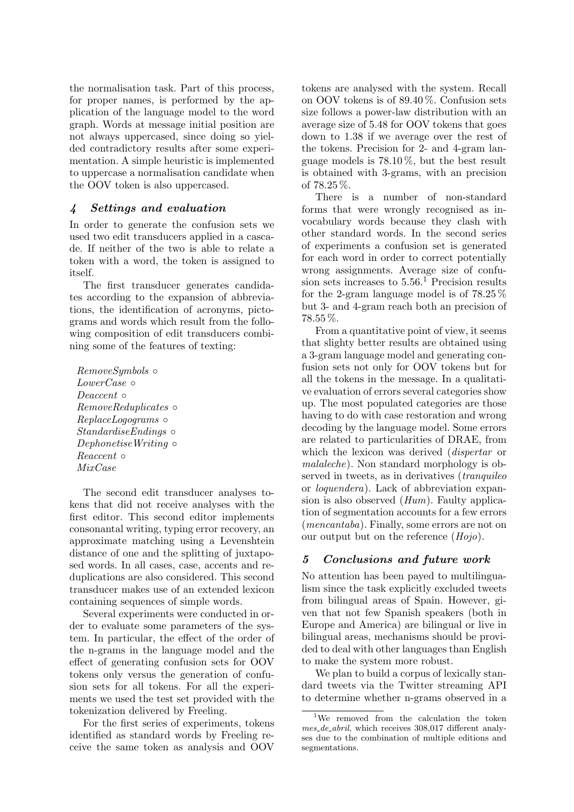the normalisation task. Part of this process, for proper names, is performed by the application of the language model to the word graph. Words at message initial position are not always uppercased, since doing so yielded contradictory results after some experimentation. A simple heuristic is implemented to uppercase a normalisation candidate when the OOV token is also uppercased.

# 4 Settings and evaluation

In order to generate the confusion sets we used two edit transducers applied in a cascade. If neither of the two is able to relate a token with a word, the token is assigned to itself.

The first transducer generates candidates according to the expansion of abbreviations, the identification of acronyms, pictograms and words which result from the following composition of edit transducers combining some of the features of texting:

RemoveSymbols ◦ LowerCase ∘ Deaccent ∘ RemoveReduplicates ◦ ReplaceLogograms ◦ StandardiseEndings ◦ DephonetiseWriting ∘ Reaccent ◦ MixCase

The second edit transducer analyses tokens that did not receive analyses with the first editor. This second editor implements consonantal writing, typing error recovery, an approximate matching using a Levenshtein distance of one and the splitting of juxtaposed words. In all cases, case, accents and reduplications are also considered. This second transducer makes use of an extended lexicon containing sequences of simple words.

Several experiments were conducted in order to evaluate some parameters of the system. In particular, the effect of the order of the n-grams in the language model and the effect of generating confusion sets for OOV tokens only versus the generation of confusion sets for all tokens. For all the experiments we used the test set provided with the tokenization delivered by Freeling.

For the first series of experiments, tokens identified as standard words by Freeling receive the same token as analysis and OOV

tokens are analysed with the system. Recall on OOV tokens is of 89.40 %. Confusion sets size follows a power-law distribution with an average size of 5.48 for OOV tokens that goes down to 1.38 if we average over the rest of the tokens. Precision for 2- and 4-gram language models is 78.10 %, but the best result is obtained with 3-grams, with an precision of 78.25 %.

There is a number of non-standard forms that were wrongly recognised as invocabulary words because they clash with other standard words. In the second series of experiments a confusion set is generated for each word in order to correct potentially wrong assignments. Average size of confusion sets increases to  $5.56<sup>1</sup>$  Precision results for the 2-gram language model is of 78.25 % but 3- and 4-gram reach both an precision of 78.55 %.

From a quantitative point of view, it seems that slighty better results are obtained using a 3-gram language model and generating confusion sets not only for OOV tokens but for all the tokens in the message. In a qualitative evaluation of errors several categories show up. The most populated categories are those having to do with case restoration and wrong decoding by the language model. Some errors are related to particularities of DRAE, from which the lexicon was derived (*dispertar* or malaleche). Non standard morphology is observed in tweets, as in derivatives *(tranquileo*) or loquendera). Lack of abbreviation expansion is also observed  $(Hum)$ . Faulty application of segmentation accounts for a few errors (mencantaba). Finally, some errors are not on our output but on the reference (Hojo).

# 5 Conclusions and future work

No attention has been payed to multilingualism since the task explicitly excluded tweets from bilingual areas of Spain. However, given that not few Spanish speakers (both in Europe and America) are bilingual or live in bilingual areas, mechanisms should be provided to deal with other languages than English to make the system more robust.

We plan to build a corpus of lexically standard tweets via the Twitter streaming API to determine whether n-grams observed in a

<sup>&</sup>lt;sup>1</sup>We removed from the calculation the token mes de abril, which receives 308,017 different analyses due to the combination of multiple editions and segmentations.